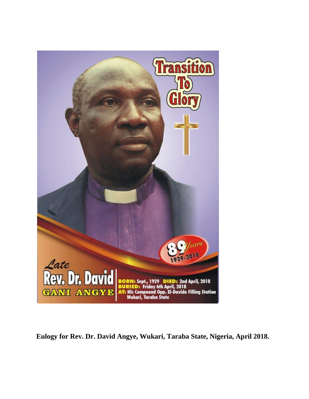

**Eulogy for Rev. Dr. David Angye, Wukari, Taraba State, Nigeria, April 2018.**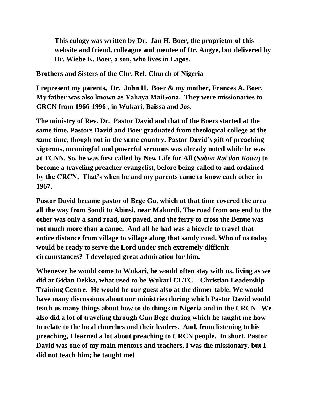**This eulogy was written by Dr. Jan H. Boer, the proprietor of this website and friend, colleague and mentee of Dr. Angye, but delivered by Dr. Wiebe K. Boer, a son, who lives in Lagos.**

**Brothers and Sisters of the Chr. Ref. Church of Nigeria**

**I represent my parents, Dr. John H. Boer & my mother, Frances A. Boer. My father was also known as Yahaya MaiGona. They were missionaries to CRCN from 1966-1996 , in Wukari, Baissa and Jos.** 

**The ministry of Rev. Dr. Pastor David and that of the Boers started at the same time. Pastors David and Boer graduated from theological college at the same time, though not in the same country. Pastor David's gift of preaching vigorous, meaningful and powerful sermons was already noted while he was at TCNN. So, he was first called by New Life for All (***Sabon Rai don Kowa***) to become a traveling preacher evangelist, before being called to and ordained by the CRCN. That's when he and my parents came to know each other in 1967.** 

**Pastor David became pastor of Bege Gu, which at that time covered the area all the way from Sondi to Abinsi, near Makurdi. The road from one end to the other was only a sand road, not paved, and the ferry to cross the Benue was not much more than a canoe. And all he had was a bicycle to travel that entire distance from village to village along that sandy road. Who of us today would be ready to serve the Lord under such extremely difficult circumstances? I developed great admiration for him.** 

**Whenever he would come to Wukari, he would often stay with us, living as we did at Gidan Dekka, what used to be Wukari CLTC—Christian Leadership Training Centre. He would be our guest also at the dinner table. We would have many discussions about our ministries during which Pastor David would teach us many things about how to do things in Nigeria and in the CRCN. We also did a lot of traveling through Gun Bege during which he taught me how to relate to the local churches and their leaders. And, from listening to his preaching, I learned a lot about preaching to CRCN people. In short, Pastor David was one of my main mentors and teachers. I was the missionary, but I did not teach him; he taught me!**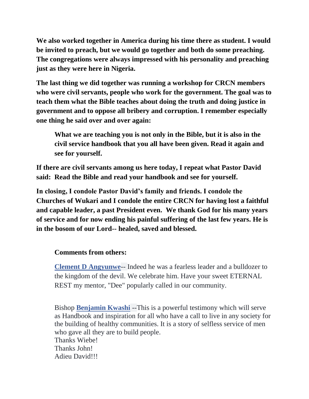**We also worked together in America during his time there as student. I would be invited to preach, but we would go together and both do some preaching. The congregations were always impressed with his personality and preaching just as they were here in Nigeria.** 

**The last thing we did together was running a workshop for CRCN members who were civil servants, people who work for the government. The goal was to teach them what the Bible teaches about doing the truth and doing justice in government and to oppose all bribery and corruption. I remember especially one thing he said over and over again:**

**What we are teaching you is not only in the Bible, but it is also in the civil service handbook that you all have been given. Read it again and see for yourself.** 

**If there are civil servants among us here today, I repeat what Pastor David said: Read the Bible and read your handbook and see for yourself.** 

**In closing, I condole Pastor David's family and friends. I condole the Churches of Wukari and I condole the entire CRCN for having lost a faithful and capable leader, a past President even. We thank God for his many years of service and for now ending his painful suffering of the last few years. He is in the bosom of our Lord-- healed, saved and blessed.**

## **Comments from others:**

**[Clement D Angyunwe](https://www.facebook.com/clement.dangyunwe?fref=ufi)**-- Indeed he was a fearless leader and a bulldozer to the kingdom of the devil. We celebrate him. Have your sweet ETERNAL REST my mentor, "Dee" popularly called in our community.

Bishop **[Benjamin Kwashi](https://www.facebook.com/benjamin.kwashi?fref=ufi)** --This is a powerful testimony which will serve as Handbook and inspiration for all who have a call to live in any society for the building of healthy communities. It is a story of selfless service of men who gave all they are to build people. Thanks Wiebe! Thanks John! Adieu David!!!